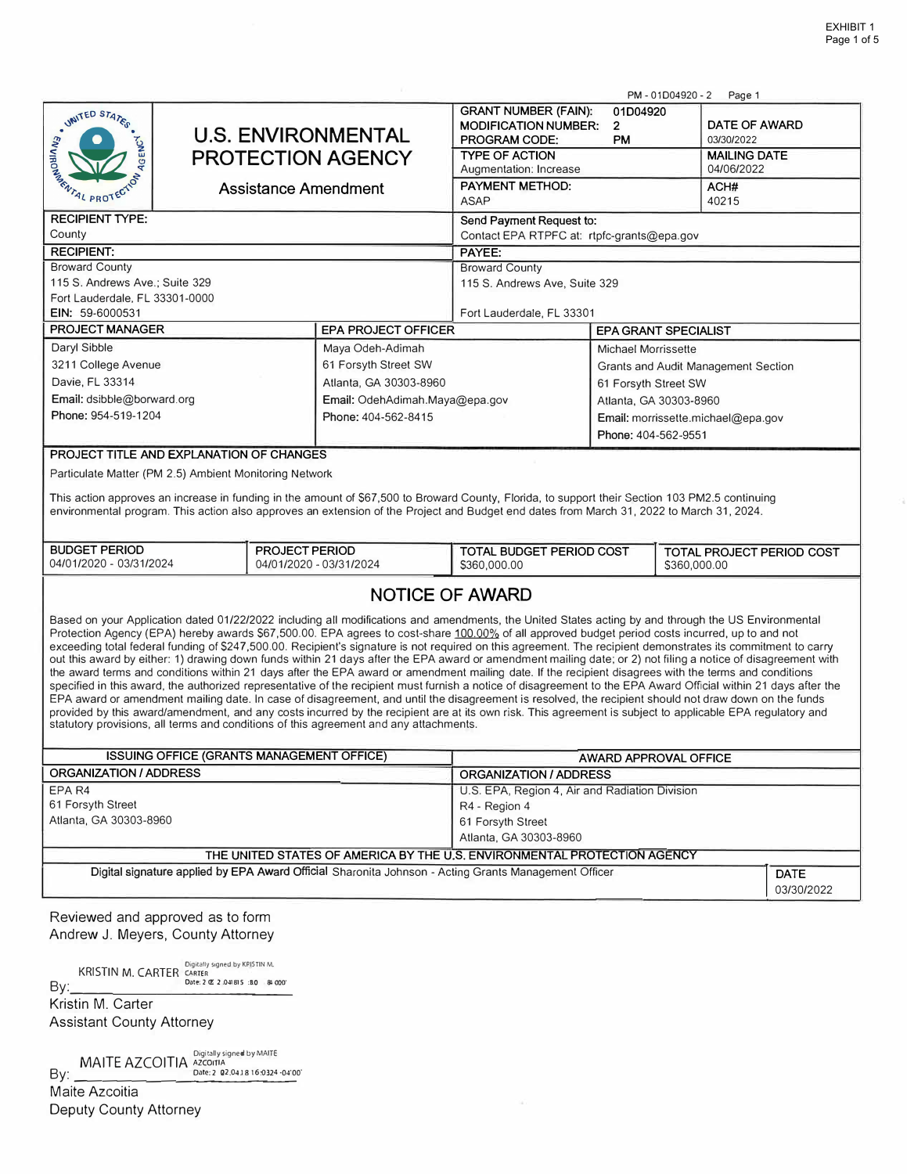|                                                                                                                                                                                                                                                                                                                    |                                                       |                |                                                                                                                                                                                                                                                                                                                              |                                                              |                                     | PM-01D04920-2<br>Page 1     |  |  |
|--------------------------------------------------------------------------------------------------------------------------------------------------------------------------------------------------------------------------------------------------------------------------------------------------------------------|-------------------------------------------------------|----------------|------------------------------------------------------------------------------------------------------------------------------------------------------------------------------------------------------------------------------------------------------------------------------------------------------------------------------|--------------------------------------------------------------|-------------------------------------|-----------------------------|--|--|
| UNITED STATES                                                                                                                                                                                                                                                                                                      | <b>U.S. ENVIRONMENTAL</b><br><b>PROTECTION AGENCY</b> |                |                                                                                                                                                                                                                                                                                                                              | <b>GRANT NUMBER (FAIN):</b><br>01D04920                      |                                     |                             |  |  |
|                                                                                                                                                                                                                                                                                                                    |                                                       |                |                                                                                                                                                                                                                                                                                                                              | <b>MODIFICATION NUMBER:</b><br>PROGRAM CODE:                 | $\overline{2}$<br><b>PM</b>         | DATE OF AWARD<br>03/30/2022 |  |  |
| <b>AGENCY</b>                                                                                                                                                                                                                                                                                                      |                                                       |                |                                                                                                                                                                                                                                                                                                                              | <b>TYPE OF ACTION</b>                                        |                                     | <b>MAILING DATE</b>         |  |  |
|                                                                                                                                                                                                                                                                                                                    |                                                       |                |                                                                                                                                                                                                                                                                                                                              | Augmentation: Increase                                       |                                     | 04/06/2022                  |  |  |
| REAL PROTECTOR                                                                                                                                                                                                                                                                                                     |                                                       |                | <b>Assistance Amendment</b>                                                                                                                                                                                                                                                                                                  | PAYMENT METHOD:                                              |                                     | ACH#                        |  |  |
|                                                                                                                                                                                                                                                                                                                    |                                                       |                |                                                                                                                                                                                                                                                                                                                              | <b>ASAP</b><br>40215                                         |                                     |                             |  |  |
| <b>RECIPIENT TYPE:</b>                                                                                                                                                                                                                                                                                             |                                                       |                |                                                                                                                                                                                                                                                                                                                              | Send Payment Request to:                                     |                                     |                             |  |  |
| County                                                                                                                                                                                                                                                                                                             |                                                       |                |                                                                                                                                                                                                                                                                                                                              | Contact EPA RTPFC at: rtpfc-grants@epa.gov                   |                                     |                             |  |  |
| <b>RECIPIENT:</b>                                                                                                                                                                                                                                                                                                  |                                                       |                |                                                                                                                                                                                                                                                                                                                              | PAYEE:                                                       |                                     |                             |  |  |
| <b>Broward County</b>                                                                                                                                                                                                                                                                                              |                                                       |                |                                                                                                                                                                                                                                                                                                                              | <b>Broward County</b>                                        |                                     |                             |  |  |
| 115 S. Andrews Ave.; Suite 329<br>Fort Lauderdale, FL 33301-0000                                                                                                                                                                                                                                                   |                                                       |                |                                                                                                                                                                                                                                                                                                                              | 115 S. Andrews Ave, Suite 329                                |                                     |                             |  |  |
| EIN: 59-6000531                                                                                                                                                                                                                                                                                                    |                                                       |                |                                                                                                                                                                                                                                                                                                                              | Fort Lauderdale, FL 33301                                    |                                     |                             |  |  |
| <b>PROJECT MANAGER</b>                                                                                                                                                                                                                                                                                             |                                                       |                | <b>EPA PROJECT OFFICER</b>                                                                                                                                                                                                                                                                                                   |                                                              |                                     | <b>EPA GRANT SPECIALIST</b> |  |  |
| Daryl Sibble                                                                                                                                                                                                                                                                                                       |                                                       |                | Maya Odeh-Adimah                                                                                                                                                                                                                                                                                                             | <b>Michael Morrissette</b>                                   |                                     |                             |  |  |
| 3211 College Avenue                                                                                                                                                                                                                                                                                                |                                                       |                | 61 Forsyth Street SW                                                                                                                                                                                                                                                                                                         |                                                              | Grants and Audit Management Section |                             |  |  |
| Davie, FL 33314                                                                                                                                                                                                                                                                                                    |                                                       |                | Atlanta, GA 30303-8960                                                                                                                                                                                                                                                                                                       |                                                              | 61 Forsyth Street SW                |                             |  |  |
| Email: dsibble@borward.org                                                                                                                                                                                                                                                                                         |                                                       |                | Email: OdehAdimah.Maya@epa.gov                                                                                                                                                                                                                                                                                               |                                                              | Atlanta, GA 30303-8960              |                             |  |  |
| Phone: 954-519-1204                                                                                                                                                                                                                                                                                                |                                                       |                | Phone: 404-562-8415                                                                                                                                                                                                                                                                                                          |                                                              | Email: morrissette.michael@epa.gov  |                             |  |  |
|                                                                                                                                                                                                                                                                                                                    |                                                       |                |                                                                                                                                                                                                                                                                                                                              |                                                              | Phone: 404-562-9551                 |                             |  |  |
| PROJECT TITLE AND EXPLANATION OF CHANGES                                                                                                                                                                                                                                                                           |                                                       |                |                                                                                                                                                                                                                                                                                                                              |                                                              |                                     |                             |  |  |
|                                                                                                                                                                                                                                                                                                                    |                                                       |                |                                                                                                                                                                                                                                                                                                                              |                                                              |                                     |                             |  |  |
| Particulate Matter (PM 2.5) Ambient Monitoring Network                                                                                                                                                                                                                                                             |                                                       |                |                                                                                                                                                                                                                                                                                                                              |                                                              |                                     |                             |  |  |
|                                                                                                                                                                                                                                                                                                                    |                                                       |                | This action approves an increase in funding in the amount of \$67,500 to Broward County, Florida, to support their Section 103 PM2.5 continuing<br>environmental program. This action also approves an extension of the Project and Budget end dates from March 31, 2022 to March 31, 2024.                                  |                                                              |                                     |                             |  |  |
|                                                                                                                                                                                                                                                                                                                    |                                                       |                |                                                                                                                                                                                                                                                                                                                              |                                                              |                                     |                             |  |  |
| <b>BUDGET PERIOD</b>                                                                                                                                                                                                                                                                                               |                                                       | PROJECT PERIOD |                                                                                                                                                                                                                                                                                                                              | TOTAL BUDGET PERIOD COST<br><b>TOTAL PROJECT PERIOD COST</b> |                                     |                             |  |  |
| 04/01/2020 - 03/31/2024                                                                                                                                                                                                                                                                                            |                                                       |                | 04/01/2020 - 03/31/2024                                                                                                                                                                                                                                                                                                      | \$360,000.00                                                 |                                     | \$360,000.00                |  |  |
|                                                                                                                                                                                                                                                                                                                    |                                                       |                |                                                                                                                                                                                                                                                                                                                              |                                                              |                                     |                             |  |  |
|                                                                                                                                                                                                                                                                                                                    |                                                       |                | <b>NOTICE OF AWARD</b>                                                                                                                                                                                                                                                                                                       |                                                              |                                     |                             |  |  |
|                                                                                                                                                                                                                                                                                                                    |                                                       |                | Based on your Application dated 01/22/2022 including all modifications and amendments, the United States acting by and through the US Environmental                                                                                                                                                                          |                                                              |                                     |                             |  |  |
|                                                                                                                                                                                                                                                                                                                    |                                                       |                | Protection Agency (EPA) hereby awards \$67,500.00. EPA agrees to cost-share 100.00% of all approved budget period costs incurred, up to and not                                                                                                                                                                              |                                                              |                                     |                             |  |  |
|                                                                                                                                                                                                                                                                                                                    |                                                       |                | exceeding total federal funding of \$247,500.00. Recipient's signature is not required on this agreement. The recipient demonstrates its commitment to carry<br>out this award by either: 1) drawing down funds within 21 days after the EPA award or amendment mailing date; or 2) not filing a notice of disagreement with |                                                              |                                     |                             |  |  |
|                                                                                                                                                                                                                                                                                                                    |                                                       |                | the award terms and conditions within 21 days after the EPA award or amendment mailing date. If the recipient disagrees with the terms and conditions                                                                                                                                                                        |                                                              |                                     |                             |  |  |
| specified in this award, the authorized representative of the recipient must furnish a notice of disagreement to the EPA Award Official within 21 days after the                                                                                                                                                   |                                                       |                |                                                                                                                                                                                                                                                                                                                              |                                                              |                                     |                             |  |  |
| EPA award or amendment mailing date. In case of disagreement, and until the disagreement is resolved, the recipient should not draw down on the funds<br>provided by this award/amendment, and any costs incurred by the recipient are at its own risk. This agreement is subject to applicable EPA regulatory and |                                                       |                |                                                                                                                                                                                                                                                                                                                              |                                                              |                                     |                             |  |  |
| statutory provisions, all terms and conditions of this agreement and any attachments.                                                                                                                                                                                                                              |                                                       |                |                                                                                                                                                                                                                                                                                                                              |                                                              |                                     |                             |  |  |
|                                                                                                                                                                                                                                                                                                                    |                                                       |                |                                                                                                                                                                                                                                                                                                                              |                                                              |                                     |                             |  |  |
| ISSUING OFFICE (GRANTS MANAGEMENT OFFICE)                                                                                                                                                                                                                                                                          |                                                       |                |                                                                                                                                                                                                                                                                                                                              | AWARD APPROVAL OFFICE                                        |                                     |                             |  |  |
| <b>ORGANIZATION / ADDRESS</b>                                                                                                                                                                                                                                                                                      |                                                       |                |                                                                                                                                                                                                                                                                                                                              | ORGANIZATION / ADDRESS                                       |                                     |                             |  |  |
| EPA R4                                                                                                                                                                                                                                                                                                             |                                                       |                | U.S. EPA, Region 4, Air and Radiation Division                                                                                                                                                                                                                                                                               |                                                              |                                     |                             |  |  |
| 61 Forsyth Street<br>Atlanta, GA 30303-8960                                                                                                                                                                                                                                                                        |                                                       |                | R4 - Region 4<br>61 Forsyth Street                                                                                                                                                                                                                                                                                           |                                                              |                                     |                             |  |  |
|                                                                                                                                                                                                                                                                                                                    |                                                       |                | Atlanta, GA 30303-8960                                                                                                                                                                                                                                                                                                       |                                                              |                                     |                             |  |  |
| THE UNITED STATES OF AMERICA BY THE U.S. ENVIRONMENTAL PROTECTION AGENCY                                                                                                                                                                                                                                           |                                                       |                |                                                                                                                                                                                                                                                                                                                              |                                                              |                                     |                             |  |  |
| Digital signature applied by EPA Award Official Sharonita Johnson - Acting Grants Management Officer<br><b>DATE</b>                                                                                                                                                                                                |                                                       |                |                                                                                                                                                                                                                                                                                                                              |                                                              |                                     |                             |  |  |
|                                                                                                                                                                                                                                                                                                                    |                                                       |                |                                                                                                                                                                                                                                                                                                                              |                                                              |                                     | 03/30/2022                  |  |  |
|                                                                                                                                                                                                                                                                                                                    |                                                       |                |                                                                                                                                                                                                                                                                                                                              |                                                              |                                     |                             |  |  |
| Reviewed and approved as to form                                                                                                                                                                                                                                                                                   |                                                       |                |                                                                                                                                                                                                                                                                                                                              |                                                              |                                     |                             |  |  |
| Andrew J. Meyers, County Attorney                                                                                                                                                                                                                                                                                  |                                                       |                |                                                                                                                                                                                                                                                                                                                              |                                                              |                                     |                             |  |  |

KRISTIN M. CARTER CARTER SURFER ON KRISTIN M.<br>  $\frac{1}{\sqrt{1-\frac{1}{2}}}\int_{-\frac{1}{2}}^{\frac{1}{2}}\frac{1}{\sqrt{1-\frac{1}{2}}}\frac{1}{\sqrt{1-\frac{1}{2}}}\frac{1}{\sqrt{1-\frac{1}{2}}}\frac{1}{\sqrt{1-\frac{1}{2}}}\frac{1}{\sqrt{1-\frac{1}{2}}}\frac{1}{\sqrt{1-\frac{1}{2}}}\frac{1}{\sqrt{1-\frac{1}{2}}}\frac{1}{\sqrt{1-\frac{1}{2}}}\frac{1}{\sqrt{1-\frac$  $By:$ ا<br>ا " " eR<br>2 0 \_ 22 \_ .o• \_ ·'• \_ ' \_ s:1 :80 8:000 " Kristin M. Carter Assistant County Attorney

 $\text{BAITE}\ \text{AZCOITA}\ \text{Dajcally signed by MATLAB}\ \text{Day:}\ \text{Data1} \ \text{Data2} \ \text{Data3} \ \text{Data4} \ \text{Data5} \ \text{Data6} \ \text{Data6} \ \text{Data7} \ \text{Data8} \ \text{Data8} \ \text{Data7} \ \text{Data8} \ \text{Data8} \ \text{Data7} \ \text{Data8} \ \text{Data8} \ \text{Data9} \ \text{Data9} \ \text{Data9} \ \text{Data9} \ \text{Data9} \ \text{Data9} \ \text{Data9} \ \text{Data9} \ \text{Data9} \ \text{Data9} \ \text{Data9} \$ 

Maite Azcoitia Deputy County Attorney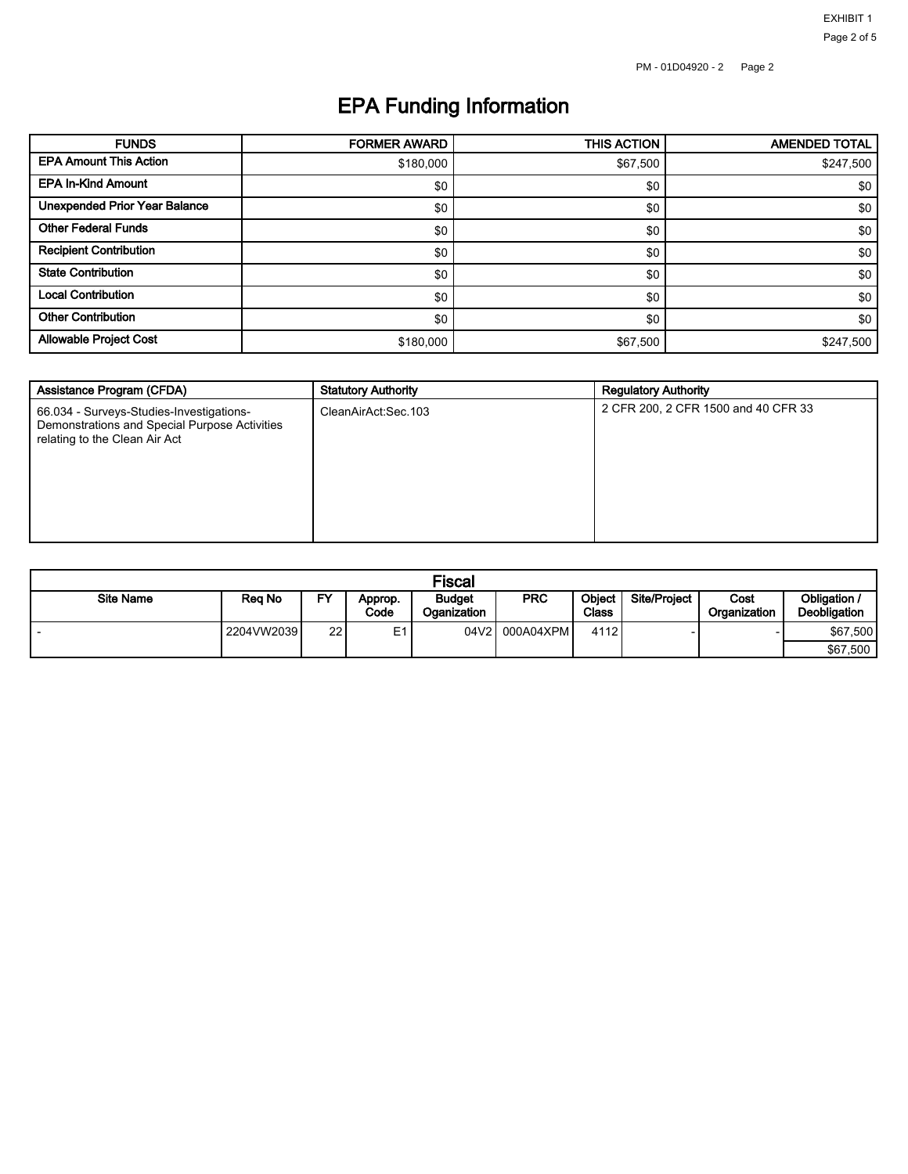EXHIBIT 1

# EPA Funding Information

| <b>FUNDS</b>                         | <b>FORMER AWARD</b> | <b>THIS ACTION</b> | <b>AMENDED TOTAL</b> |
|--------------------------------------|---------------------|--------------------|----------------------|
| <b>EPA Amount This Action</b>        | \$180,000           | \$67,500           | \$247,500            |
| <b>EPA In-Kind Amount</b>            | \$0                 | \$0                | \$0                  |
| <b>Unexpended Prior Year Balance</b> | \$0                 | \$0                | \$0                  |
| <b>Other Federal Funds</b>           | \$0                 | \$0                | \$0                  |
| <b>Recipient Contribution</b>        | \$0                 | \$0                | \$0                  |
| <b>State Contribution</b>            | \$0                 | \$0                | \$0                  |
| <b>Local Contribution</b>            | \$0                 | \$0                | \$0                  |
| <b>Other Contribution</b>            | \$0                 | \$0                | \$0                  |
| <b>Allowable Project Cost</b>        | \$180,000           | \$67,500           | \$247,500            |

| Assistance Program (CFDA)                                                                                                  | <b>Statutory Authority</b> | <b>Regulatory Authority</b>         |
|----------------------------------------------------------------------------------------------------------------------------|----------------------------|-------------------------------------|
| 66.034 - Surveys-Studies-Investigations-<br>Demonstrations and Special Purpose Activities<br>relating to the Clean Air Act | CleanAirAct:Sec.103        | 2 CFR 200, 2 CFR 1500 and 40 CFR 33 |

| <b>Fiscal</b>    |            |    |                 |                              |                |                               |                     |                      |                                     |
|------------------|------------|----|-----------------|------------------------------|----------------|-------------------------------|---------------------|----------------------|-------------------------------------|
| <b>Site Name</b> | Rea No     | EV | Approp.<br>Code | <b>Budget</b><br>Oganization | <b>PRC</b>     | <b>Object</b><br><b>Class</b> | <b>Site/Project</b> | Cost<br>Organization | Obligation /<br><b>Deobligation</b> |
|                  | 2204VW2039 | 22 | E <sub>1</sub>  |                              | 04V2 000A04XPM | 4112                          |                     |                      | \$67,500                            |
|                  |            |    |                 |                              |                |                               |                     |                      | \$67,500                            |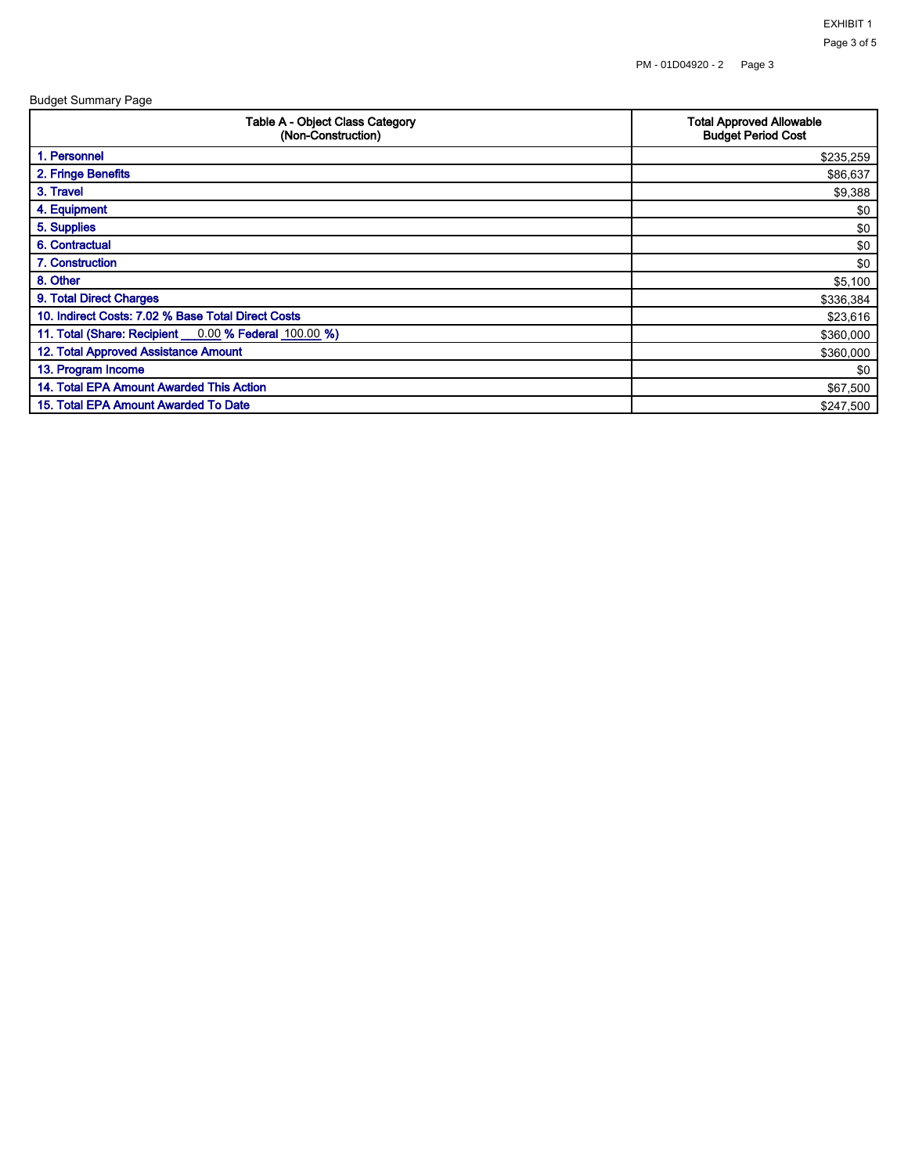Budget Summary Page

| <b>Table A - Object Class Category</b><br>(Non-Construction) | <b>Total Approved Allowable</b><br><b>Budget Period Cost</b> |  |  |
|--------------------------------------------------------------|--------------------------------------------------------------|--|--|
| 1. Personnel                                                 | \$235,259                                                    |  |  |
| 2. Fringe Benefits                                           | \$86,637                                                     |  |  |
| 3. Travel                                                    | \$9,388                                                      |  |  |
| 4. Equipment                                                 | \$0                                                          |  |  |
| 5. Supplies                                                  | \$0                                                          |  |  |
| 6. Contractual                                               | \$0                                                          |  |  |
| 7. Construction                                              | \$0                                                          |  |  |
| 8. Other                                                     | \$5,100                                                      |  |  |
| 9. Total Direct Charges                                      | \$336,384                                                    |  |  |
| 10. Indirect Costs: 7.02 % Base Total Direct Costs           | \$23,616                                                     |  |  |
| 11. Total (Share: Recipient __0.00 % Federal 100.00 %)       | \$360,000                                                    |  |  |
| 12. Total Approved Assistance Amount                         | \$360,000                                                    |  |  |
| 13. Program Income                                           | \$0                                                          |  |  |
| 14. Total EPA Amount Awarded This Action                     | \$67,500                                                     |  |  |
| 15. Total EPA Amount Awarded To Date                         | \$247,500                                                    |  |  |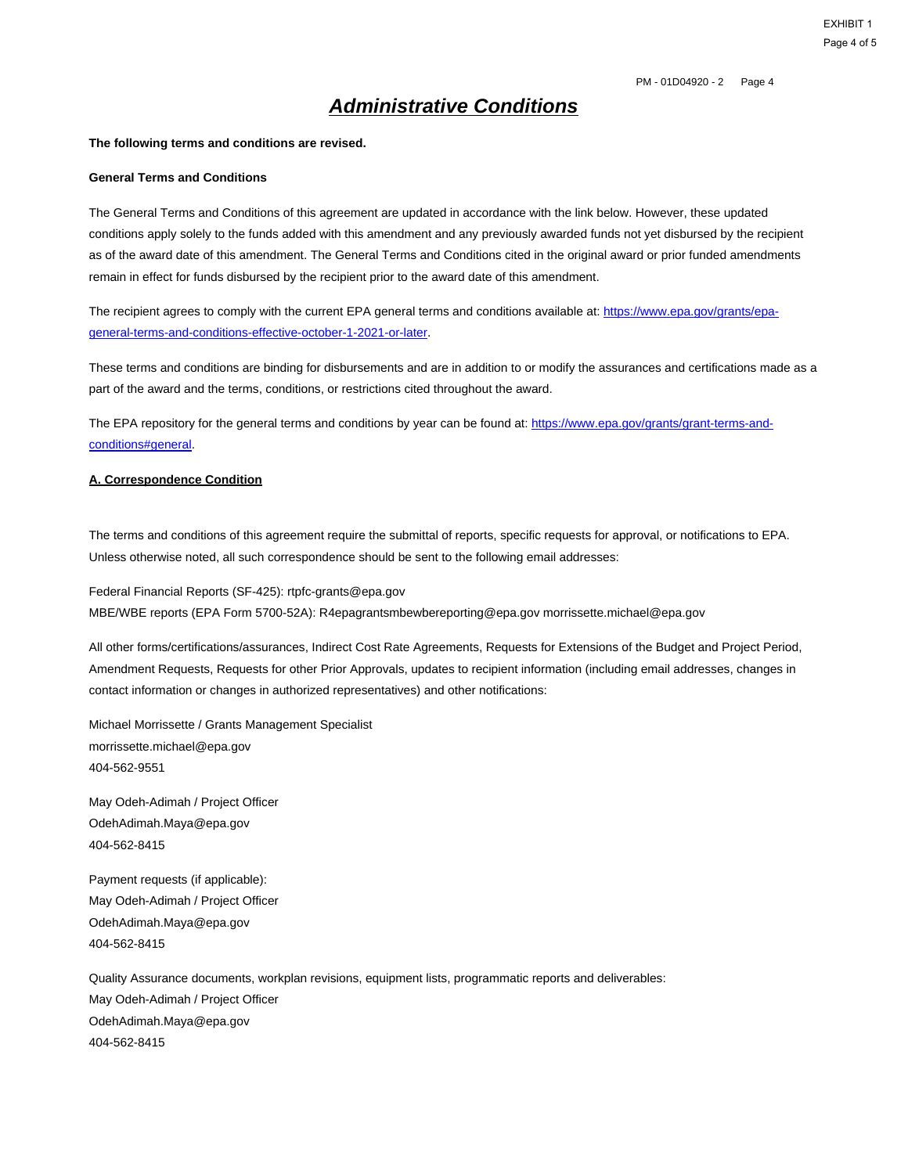EXHIBIT 1 Page 4 of 5

### **Administrative Conditions**

#### **The following terms and conditions are revised.**

#### **General Terms and Conditions**

The General Terms and Conditions of this agreement are updated in accordance with the link below. However, these updated conditions apply solely to the funds added with this amendment and any previously awarded funds not yet disbursed by the recipient as of the award date of this amendment. The General Terms and Conditions cited in the original award or prior funded amendments remain in effect for funds disbursed by the recipient prior to the award date of this amendment.

The recipient agrees to comply with the current EPA general terms and conditions available at: https://www.epa.gov/grants/epageneral-terms-and-conditions-effective-october-1-2021-or-later.

These terms and conditions are binding for disbursements and are in addition to or modify the assurances and certifications made as a part of the award and the terms, conditions, or restrictions cited throughout the award.

The EPA repository for the general terms and conditions by year can be found at: https://www.epa.gov/grants/grant-terms-andconditions#general.

#### **A. Correspondence Condition**

The terms and conditions of this agreement require the submittal of reports, specific requests for approval, or notifications to EPA. Unless otherwise noted, all such correspondence should be sent to the following email addresses:

Federal Financial Reports (SF-425): rtpfc-grants@epa.gov MBE/WBE reports (EPA Form 5700-52A): R4epagrantsmbewbereporting@epa.gov morrissette.michael@epa.gov

All other forms/certifications/assurances, Indirect Cost Rate Agreements, Requests for Extensions of the Budget and Project Period, Amendment Requests, Requests for other Prior Approvals, updates to recipient information (including email addresses, changes in contact information or changes in authorized representatives) and other notifications:

Michael Morrissette / Grants Management Specialist morrissette.michael@epa.gov 404-562-9551

May Odeh-Adimah / Project Officer OdehAdimah.Maya@epa.gov 404-562-8415

Payment requests (if applicable): May Odeh-Adimah / Project Officer OdehAdimah.Maya@epa.gov 404-562-8415

Quality Assurance documents, workplan revisions, equipment lists, programmatic reports and deliverables: May Odeh-Adimah / Project Officer OdehAdimah.Maya@epa.gov 404-562-8415